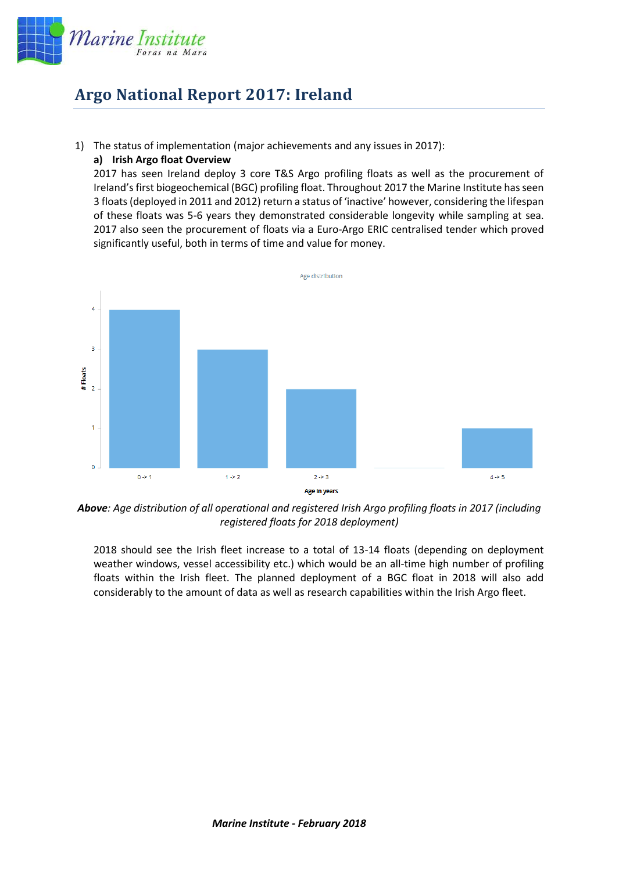

## **Argo National Report 2017: Ireland**

1) The status of implementation (major achievements and any issues in 2017):

## **a) Irish Argo float Overview**

2017 has seen Ireland deploy 3 core T&S Argo profiling floats as well as the procurement of Ireland's first biogeochemical (BGC) profiling float. Throughout 2017 the Marine Institute has seen 3 floats (deployed in 2011 and 2012) return a status of 'inactive' however, considering the lifespan of these floats was 5-6 years they demonstrated considerable longevity while sampling at sea. 2017 also seen the procurement of floats via a Euro-Argo ERIC centralised tender which proved significantly useful, both in terms of time and value for money.



*Above: Age distribution of all operational and registered Irish Argo profiling floats in 2017 (including registered floats for 2018 deployment)*

2018 should see the Irish fleet increase to a total of 13-14 floats (depending on deployment weather windows, vessel accessibility etc.) which would be an all-time high number of profiling floats within the Irish fleet. The planned deployment of a BGC float in 2018 will also add considerably to the amount of data as well as research capabilities within the Irish Argo fleet.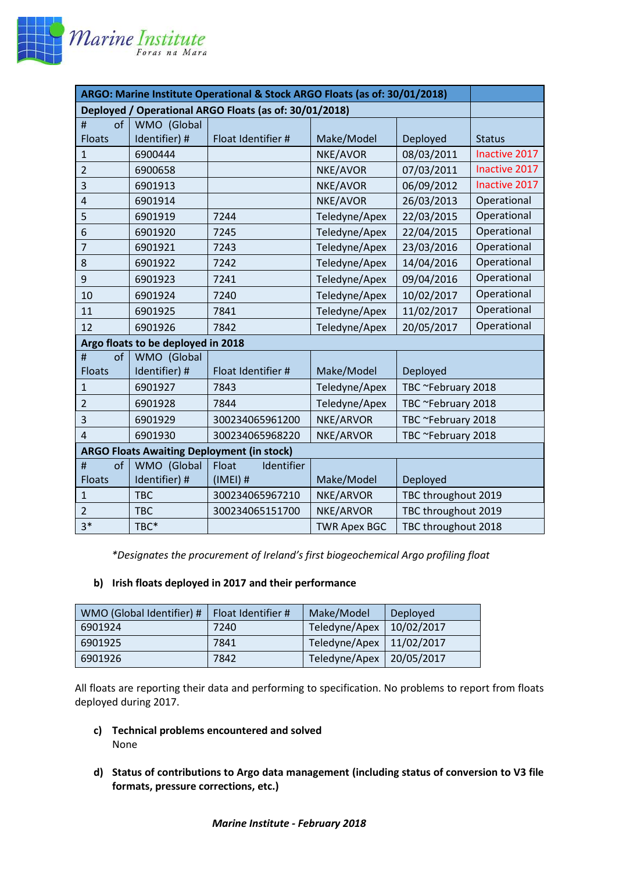

| ARGO: Marine Institute Operational & Stock ARGO Floats (as of: 30/01/2018) |               |                     |                     |                     |               |  |
|----------------------------------------------------------------------------|---------------|---------------------|---------------------|---------------------|---------------|--|
| Deployed / Operational ARGO Floats (as of: 30/01/2018)                     |               |                     |                     |                     |               |  |
| of<br>#                                                                    | WMO (Global   |                     |                     |                     |               |  |
| <b>Floats</b>                                                              | Identifier) # | Float Identifier #  | Make/Model          | Deployed            | <b>Status</b> |  |
| 1                                                                          | 6900444       |                     | NKE/AVOR            | 08/03/2011          | Inactive 2017 |  |
| $\overline{2}$                                                             | 6900658       |                     | NKE/AVOR            | 07/03/2011          | Inactive 2017 |  |
| 3                                                                          | 6901913       |                     | NKE/AVOR            | 06/09/2012          | Inactive 2017 |  |
| 4                                                                          | 6901914       |                     | NKE/AVOR            | 26/03/2013          | Operational   |  |
| 5                                                                          | 6901919       | 7244                | Teledyne/Apex       | 22/03/2015          | Operational   |  |
| 6                                                                          | 6901920       | 7245                | Teledyne/Apex       | 22/04/2015          | Operational   |  |
| $\overline{7}$                                                             | 6901921       | 7243                | Teledyne/Apex       | 23/03/2016          | Operational   |  |
| 8                                                                          | 6901922       | 7242                | Teledyne/Apex       | 14/04/2016          | Operational   |  |
| 9                                                                          | 6901923       | 7241                | Teledyne/Apex       | 09/04/2016          | Operational   |  |
| 10                                                                         | 6901924       | 7240                | Teledyne/Apex       | 10/02/2017          | Operational   |  |
| 11                                                                         | 6901925       | 7841                | Teledyne/Apex       | 11/02/2017          | Operational   |  |
| 12                                                                         | 6901926       | 7842                | Teledyne/Apex       | 20/05/2017          | Operational   |  |
| Argo floats to be deployed in 2018                                         |               |                     |                     |                     |               |  |
| of<br>#                                                                    | WMO (Global   |                     |                     |                     |               |  |
| <b>Floats</b>                                                              | Identifier) # | Float Identifier #  | Make/Model          | Deployed            |               |  |
| $\mathbf{1}$                                                               | 6901927       | 7843                | Teledyne/Apex       | TBC ~February 2018  |               |  |
| $\overline{2}$                                                             | 6901928       | 7844                | Teledyne/Apex       | TBC ~February 2018  |               |  |
| 3                                                                          | 6901929       | 300234065961200     | NKE/ARVOR           | TBC ~February 2018  |               |  |
| $\overline{4}$                                                             | 6901930       | 300234065968220     | NKE/ARVOR           | TBC ~February 2018  |               |  |
| <b>ARGO Floats Awaiting Deployment (in stock)</b>                          |               |                     |                     |                     |               |  |
| of<br>#                                                                    | WMO (Global   | Identifier<br>Float |                     |                     |               |  |
| <b>Floats</b>                                                              | Identifier) # | $(IMEI)$ #          | Make/Model          | Deployed            |               |  |
| $\mathbf{1}$                                                               | <b>TBC</b>    | 300234065967210     | NKE/ARVOR           | TBC throughout 2019 |               |  |
| $\overline{2}$                                                             | <b>TBC</b>    | 300234065151700     | NKE/ARVOR           | TBC throughout 2019 |               |  |
| $3*$                                                                       | TBC*          |                     | <b>TWR Apex BGC</b> | TBC throughout 2018 |               |  |

*\*Designates the procurement of Ireland's first biogeochemical Argo profiling float*

## **b) Irish floats deployed in 2017 and their performance**

| WMO (Global Identifier) # | Float Identifier # | Make/Model    | Deployed   |
|---------------------------|--------------------|---------------|------------|
| 6901924                   | 7240               | Teledyne/Apex | 10/02/2017 |
| 6901925                   | 7841               | Teledyne/Apex | 11/02/2017 |
| 6901926                   | 7842               | Teledyne/Apex | 20/05/2017 |

All floats are reporting their data and performing to specification. No problems to report from floats deployed during 2017.

- **c) Technical problems encountered and solved** None
- **d) Status of contributions to Argo data management (including status of conversion to V3 file formats, pressure corrections, etc.)**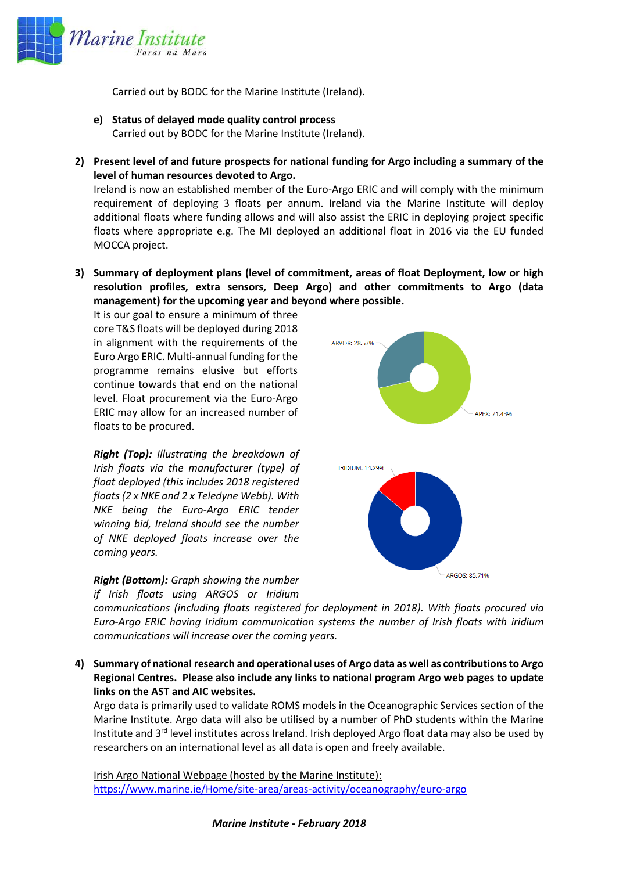

Carried out by BODC for the Marine Institute (Ireland).

- **e) Status of delayed mode quality control process** Carried out by BODC for the Marine Institute (Ireland).
- **2) Present level of and future prospects for national funding for Argo including a summary of the level of human resources devoted to Argo.**

Ireland is now an established member of the Euro-Argo ERIC and will comply with the minimum requirement of deploying 3 floats per annum. Ireland via the Marine Institute will deploy additional floats where funding allows and will also assist the ERIC in deploying project specific floats where appropriate e.g. The MI deployed an additional float in 2016 via the EU funded MOCCA project.

**3) Summary of deployment plans (level of commitment, areas of float Deployment, low or high resolution profiles, extra sensors, Deep Argo) and other commitments to Argo (data management) for the upcoming year and beyond where possible.**

It is our goal to ensure a minimum of three core T&S floats will be deployed during 2018 in alignment with the requirements of the Euro Argo ERIC. Multi-annual funding for the programme remains elusive but efforts continue towards that end on the national level. Float procurement via the Euro-Argo ERIC may allow for an increased number of floats to be procured.

*Right (Top): Illustrating the breakdown of Irish floats via the manufacturer (type) of float deployed (this includes 2018 registered floats (2 x NKE and 2 x Teledyne Webb). With NKE being the Euro-Argo ERIC tender winning bid, Ireland should see the number of NKE deployed floats increase over the coming years.* 

## *Right (Bottom): Graph showing the number if Irish floats using ARGOS or Iridium*



*communications (including floats registered for deployment in 2018). With floats procured via Euro-Argo ERIC having Iridium communication systems the number of Irish floats with iridium communications will increase over the coming years.* 

**4) Summary of national research and operational uses of Argo data as well as contributions to Argo Regional Centres. Please also include any links to national program Argo web pages to update links on the AST and AIC websites.** 

Argo data is primarily used to validate ROMS models in the Oceanographic Services section of the Marine Institute. Argo data will also be utilised by a number of PhD students within the Marine Institute and  $3<sup>rd</sup>$  level institutes across Ireland. Irish deployed Argo float data may also be used by researchers on an international level as all data is open and freely available.

Irish Argo National Webpage (hosted by the Marine Institute): <https://www.marine.ie/Home/site-area/areas-activity/oceanography/euro-argo>